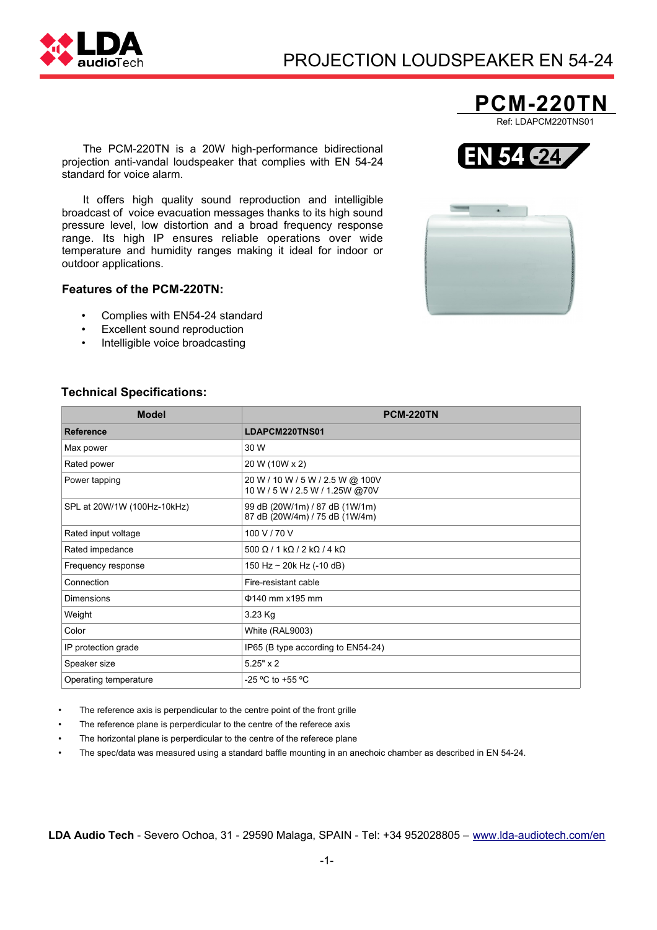

# PROJECTION LOUDSPEAKER EN 54-24

The PCM-220TN is a 20W high-performance bidirectional projection anti-vandal loudspeaker that complies with EN 54-24 standard for voice alarm.

It offers high quality sound reproduction and intelligible broadcast of voice evacuation messages thanks to its high sound pressure level, low distortion and a broad frequency response range. Its high IP ensures reliable operations over wide temperature and humidity ranges making it ideal for indoor or outdoor applications.

## **Features of the PCM-220TN:**

- Complies with EN54-24 standard
- Excellent sound reproduction
- Intelligible voice broadcasting

### **Technical Specifications:**

| <b>Model</b>                | <b>PCM-220TN</b>                                                    |
|-----------------------------|---------------------------------------------------------------------|
| <b>Reference</b>            | LDAPCM220TNS01                                                      |
| Max power                   | 30 W                                                                |
| Rated power                 | 20 W (10W x 2)                                                      |
| Power tapping               | 20 W / 10 W / 5 W / 2.5 W @ 100V<br>10 W / 5 W / 2.5 W / 1.25W @70V |
| SPL at 20W/1W (100Hz-10kHz) | 99 dB (20W/1m) / 87 dB (1W/1m)<br>87 dB (20W/4m) / 75 dB (1W/4m)    |
| Rated input voltage         | 100 V / 70 V                                                        |
| Rated impedance             | $500 \Omega / 1 k\Omega / 2 k\Omega / 4 k\Omega$                    |
| Frequency response          | 150 Hz $\sim$ 20k Hz (-10 dB)                                       |
| Connection                  | Fire-resistant cable                                                |
| <b>Dimensions</b>           | $\Phi$ 140 mm x195 mm                                               |
| Weight                      | 3.23 Kg                                                             |
| Color                       | White (RAL9003)                                                     |
| IP protection grade         | IP65 (B type according to EN54-24)                                  |
| Speaker size                | $5.25" \times 2$                                                    |
| Operating temperature       | -25 °C to +55 °C                                                    |

The reference axis is perpendicular to the centre point of the front grille

- The reference plane is perperdicular to the centre of the referece axis
- The horizontal plane is perperdicular to the centre of the referece plane
- The spec/data was measured using a standard baffle mounting in an anechoic chamber as described in EN 54-24.

**LDA Audio Tech** - Severo Ochoa, 31 - 29590 Malaga, SPAIN - Tel: +34 952028805 – [www.lda-audiotech.com/en](http://www.lda-audiotech.com/en)





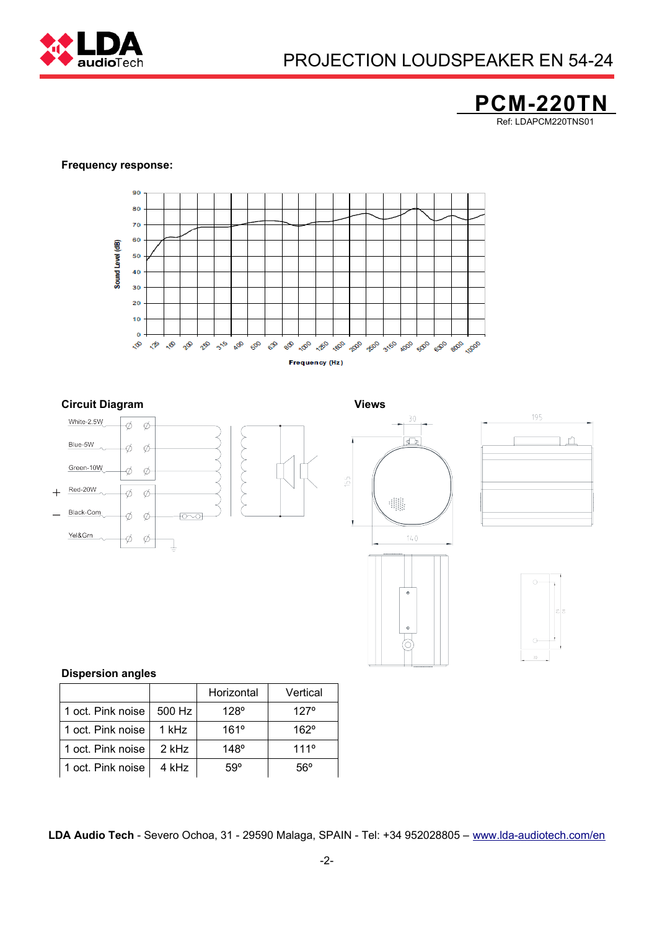

# PROJECTION LOUDSPEAKER EN 54-24

# **PCM-220TN** Ref: LDAPCM220TNS01

#### **Frequency response:**



#### **Circuit Diagram Views**











### **Dispersion angles**

|                   |        | Horizontal  | Vertical      |
|-------------------|--------|-------------|---------------|
| 1 oct. Pink noise | 500 Hz | $128^\circ$ | 127°          |
| 1 oct. Pink noise | 1 kHz  | 161°        | $162^\circ$   |
| 1 oct. Pink noise | 2 kHz  | $148^\circ$ | $111^{\circ}$ |
| 1 oct. Pink noise | 4 kHz  | 59°         | 56°           |

**LDA Audio Tech** - Severo Ochoa, 31 - 29590 Malaga, SPAIN - Tel: +34 952028805 – [www.lda-audiotech.com/en](http://www.lda-audiotech.com/en)